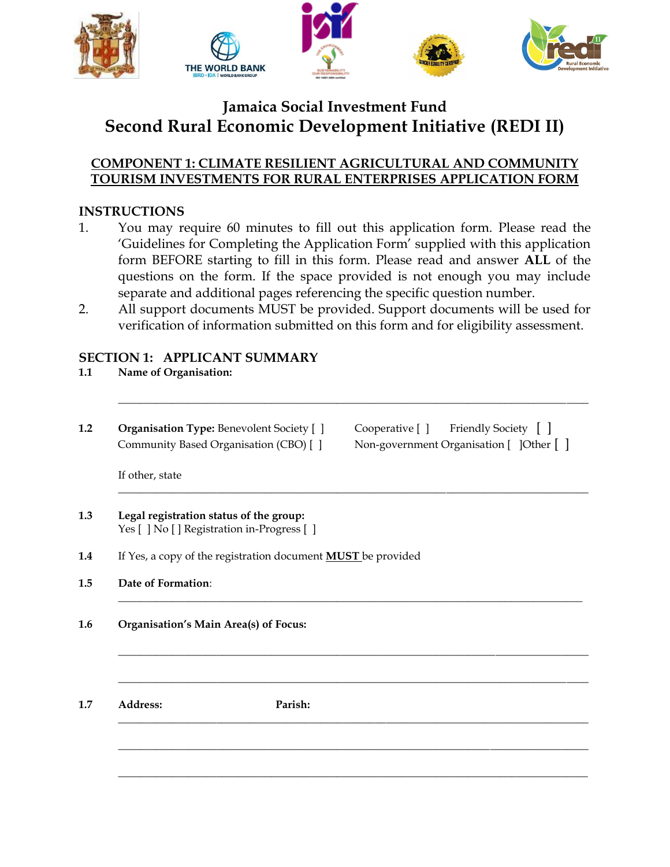

# **Jamaica Social Investment Fund Second Rural Economic Development Initiative (REDI II)**

## **COMPONENT 1: CLIMATE RESILIENT AGRICULTURAL AND COMMUNITY TOURISM INVESTMENTS FOR RURAL ENTERPRISES APPLICATION FORM**

## **INSTRUCTIONS**

- 1. You may require 60 minutes to fill out this application form. Please read the 'Guidelines for Completing the Application Form' supplied with this application form BEFORE starting to fill in this form. Please read and answer **ALL** of the questions on the form. If the space provided is not enough you may include separate and additional pages referencing the specific question number.
- 2. All support documents MUST be provided. Support documents will be used for verification of information submitted on this form and for eligibility assessment.

\_\_\_\_\_\_\_\_\_\_\_\_\_\_\_\_\_\_\_\_\_\_\_\_\_\_\_\_\_\_\_\_\_\_\_\_\_\_\_\_\_\_\_\_\_\_\_\_\_\_\_\_\_\_\_\_\_\_\_\_\_\_\_\_\_\_\_\_\_\_\_\_\_\_\_\_\_\_\_\_\_\_\_\_\_\_

\_\_\_\_\_\_\_\_\_\_\_\_\_\_\_\_\_\_\_\_\_\_\_\_\_\_\_\_\_\_\_\_\_\_\_\_\_\_\_\_\_\_\_\_\_\_\_\_\_\_\_\_\_\_\_\_\_\_\_\_\_\_\_\_\_\_\_\_\_\_\_\_\_\_\_\_\_\_\_\_\_\_\_\_\_\_

\_\_\_\_\_\_\_\_\_\_\_\_\_\_\_\_\_\_\_\_\_\_\_\_\_\_\_\_\_\_\_\_\_\_\_\_\_\_\_\_\_\_\_\_\_\_\_\_\_\_\_\_\_\_\_\_\_\_\_\_\_\_\_\_\_\_\_\_\_\_\_\_\_\_\_\_\_\_\_\_\_\_\_\_\_

\_\_\_\_\_\_\_\_\_\_\_\_\_\_\_\_\_\_\_\_\_\_\_\_\_\_\_\_\_\_\_\_\_\_\_\_\_\_\_\_\_\_\_\_\_\_\_\_\_\_\_\_\_\_\_\_\_\_\_\_\_\_\_\_\_\_\_\_\_\_\_\_\_\_\_\_\_\_\_\_\_\_\_\_\_\_

**\_\_\_\_\_\_\_\_\_\_\_\_\_\_\_\_\_\_\_\_\_\_\_\_\_\_\_\_\_\_\_\_\_\_\_\_\_\_\_\_\_\_\_\_\_\_\_\_\_\_\_\_\_\_\_\_\_\_\_\_\_\_\_\_\_\_\_\_\_\_\_\_\_\_\_\_\_\_\_\_\_\_\_\_\_\_**

\_\_\_\_\_\_\_\_\_\_\_\_\_\_\_\_\_\_\_\_\_\_\_\_\_\_\_\_\_\_\_\_\_\_\_\_\_\_\_\_\_\_\_\_\_\_\_\_\_\_\_\_\_\_\_\_\_\_\_\_\_\_\_\_\_\_\_\_\_\_\_\_\_\_\_\_\_\_\_\_\_\_\_\_\_\_

**\_\_\_\_\_\_\_\_\_\_\_\_\_\_\_\_\_\_\_\_\_\_\_\_\_\_\_\_\_\_\_\_\_\_\_\_\_\_\_\_\_\_\_\_\_\_\_\_\_\_\_\_\_\_\_\_\_\_\_\_\_\_\_\_\_\_\_\_\_\_\_\_\_\_\_\_\_\_\_\_\_\_\_\_\_\_**

\_\_\_\_\_\_\_\_\_\_\_\_\_\_\_\_\_\_\_\_\_\_\_\_\_\_\_\_\_\_\_\_\_\_\_\_\_\_\_\_\_\_\_\_\_\_\_\_\_\_\_\_\_\_\_\_\_\_\_\_\_\_\_\_\_\_\_\_\_\_\_\_\_\_\_\_\_\_\_\_\_\_\_\_\_\_

## **SECTION 1: APPLICANT SUMMARY**

- **1.1 Name of Organisation:**
- 

**1.2 Organisation Type:** Benevolent Society  $\begin{bmatrix} \end{bmatrix}$  Cooperative  $\begin{bmatrix} \end{bmatrix}$  Friendly Society  $\begin{bmatrix} \end{bmatrix}$ Community Based Organisation (CBO) [ ] Non-government Organisation [ ]Other [ ]

If other, state

- **1.3 Legal registration status of the group:** Yes [ ] No [ ] Registration in-Progress [ ]
- **1.4** If Yes, a copy of the registration document **MUST** be provided
- **1.5 Date of Formation**:
- **1.6 Organisation's Main Area(s) of Focus:**

**1.7 Address: Parish:**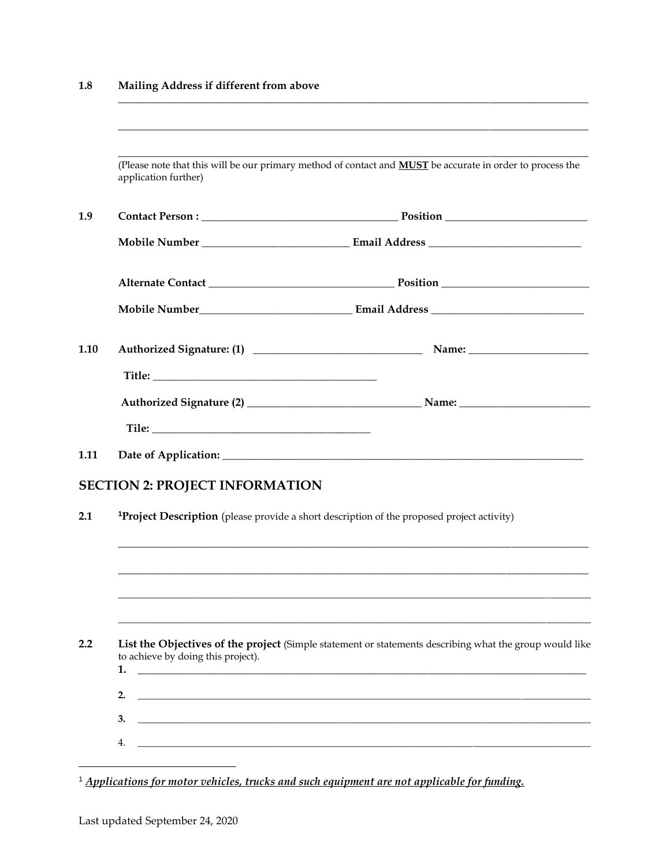#### $1.8$ Mailing Address if different from above

|      | application further)                                                                             | (Please note that this will be our primary method of contact and <b>MUST</b> be accurate in order to process the |  |  |
|------|--------------------------------------------------------------------------------------------------|------------------------------------------------------------------------------------------------------------------|--|--|
| 1.9  |                                                                                                  |                                                                                                                  |  |  |
|      |                                                                                                  |                                                                                                                  |  |  |
|      |                                                                                                  |                                                                                                                  |  |  |
|      |                                                                                                  |                                                                                                                  |  |  |
| 1.10 |                                                                                                  |                                                                                                                  |  |  |
|      |                                                                                                  |                                                                                                                  |  |  |
|      |                                                                                                  |                                                                                                                  |  |  |
|      |                                                                                                  |                                                                                                                  |  |  |
| 1.11 |                                                                                                  |                                                                                                                  |  |  |
|      | <b>SECTION 2: PROJECT INFORMATION</b>                                                            |                                                                                                                  |  |  |
| 2.1  | <b>Project Description</b> (please provide a short description of the proposed project activity) |                                                                                                                  |  |  |
|      |                                                                                                  |                                                                                                                  |  |  |
|      |                                                                                                  |                                                                                                                  |  |  |
|      |                                                                                                  |                                                                                                                  |  |  |
| 2.2  | to achieve by doing this project).<br>1.                                                         | List the Objectives of the project (Simple statement or statements describing what the group would like          |  |  |
|      | 2.                                                                                               |                                                                                                                  |  |  |
|      | 3.                                                                                               |                                                                                                                  |  |  |
|      | 4.                                                                                               |                                                                                                                  |  |  |
|      |                                                                                                  |                                                                                                                  |  |  |

<sup>1</sup> Applications for motor vehicles, trucks and such equipment are not applicable for funding.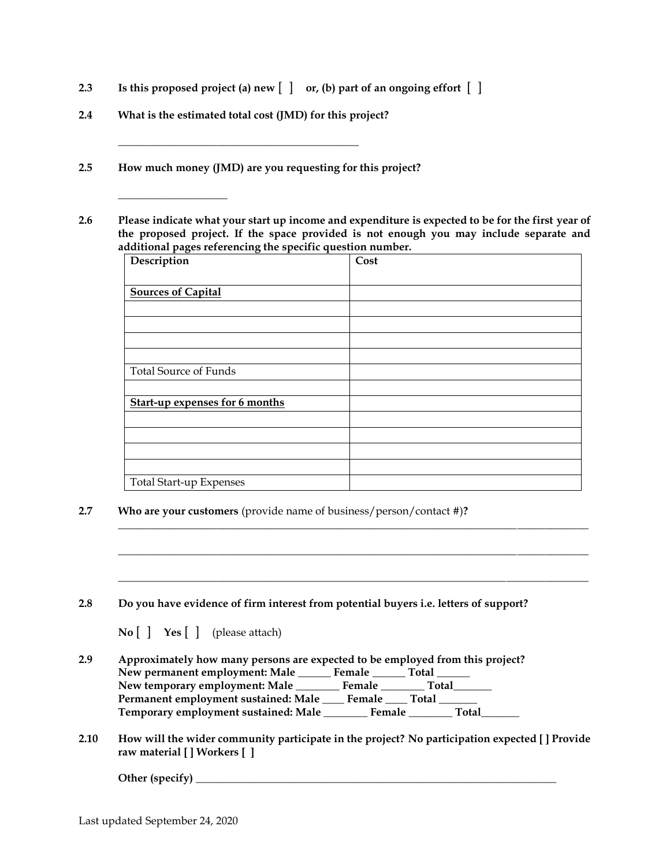- **2.3 Is this proposed project (a) new** [ ] **or, (b) part of an ongoing effort** [ ]
- **2.4 What is the estimated total cost (JMD) for this project?**

**\_\_\_\_\_\_\_\_\_\_\_\_\_\_\_\_\_\_\_\_\_\_\_\_\_\_\_\_\_\_\_\_\_\_\_\_\_\_\_\_\_\_\_\_**

**\_\_\_\_\_\_\_\_\_\_\_\_\_\_\_\_\_\_\_\_**

- **2.5 How much money (JMD) are you requesting for this project?**
- **2.6 Please indicate what your start up income and expenditure is expected to be for the first year of the proposed project. If the space provided is not enough you may include separate and additional pages referencing the specific question number.**

| Description                           | Cost |
|---------------------------------------|------|
|                                       |      |
| <b>Sources of Capital</b>             |      |
|                                       |      |
|                                       |      |
|                                       |      |
|                                       |      |
| <b>Total Source of Funds</b>          |      |
|                                       |      |
| <b>Start-up expenses for 6 months</b> |      |
|                                       |      |
|                                       |      |
|                                       |      |
|                                       |      |
| Total Start-up Expenses               |      |

**\_\_\_\_\_\_\_\_\_\_\_\_\_\_\_\_\_\_\_\_\_\_\_\_\_\_\_\_\_\_\_\_\_\_\_\_\_\_\_\_\_\_\_\_\_\_\_\_\_\_\_\_\_\_\_\_\_\_\_\_\_\_\_\_\_\_\_\_\_\_\_\_\_\_\_\_\_\_\_\_\_\_\_\_\_\_**

**\_\_\_\_\_\_\_\_\_\_\_\_\_\_\_\_\_\_\_\_\_\_\_\_\_\_\_\_\_\_\_\_\_\_\_\_\_\_\_\_\_\_\_\_\_\_\_\_\_\_\_\_\_\_\_\_\_\_\_\_\_\_\_\_\_\_\_\_\_\_\_\_\_\_\_\_\_\_\_\_\_\_\_\_\_\_**

**\_\_\_\_\_\_\_\_\_\_\_\_\_\_\_\_\_\_\_\_\_\_\_\_\_\_\_\_\_\_\_\_\_\_\_\_\_\_\_\_\_\_\_\_\_\_\_\_\_\_\_\_\_\_\_\_\_\_\_\_\_\_\_\_\_\_\_\_\_\_\_\_\_\_\_\_\_\_\_\_\_\_\_\_\_\_**

**2.7 Who are your customers** (provide name of business/person/contact #)**?** 

| 2.8 | Do you have evidence of firm interest from potential buyers i.e. letters of support?                                                                  |  |  |  |
|-----|-------------------------------------------------------------------------------------------------------------------------------------------------------|--|--|--|
|     | $\mathbf{No} \begin{bmatrix} \end{bmatrix}$ Yes $\begin{bmatrix} \end{bmatrix}$ (please attach)                                                       |  |  |  |
| 2.9 | Approximately how many persons are expected to be employed from this project?<br>New permanent employment: Male ________ Female _______ Total _______ |  |  |  |
|     | New temporary employment: Male __________ Female _________ Total                                                                                      |  |  |  |
|     | Permanent employment sustained: Male ______ Female ______ Total ________                                                                              |  |  |  |
|     | Temporary employment sustained: Male ________ Female ________ Total_                                                                                  |  |  |  |

**2.10 How will the wider community participate in the project? No participation expected [ ] Provide raw material [ ] Workers [ ]**

**Other (specify) \_\_\_\_\_\_\_\_\_\_\_\_\_\_\_\_\_\_\_\_\_\_\_\_\_\_\_\_\_\_\_\_\_\_\_\_\_\_\_\_\_\_\_\_\_\_\_\_\_\_\_\_\_\_\_\_\_\_\_\_\_\_\_\_\_\_**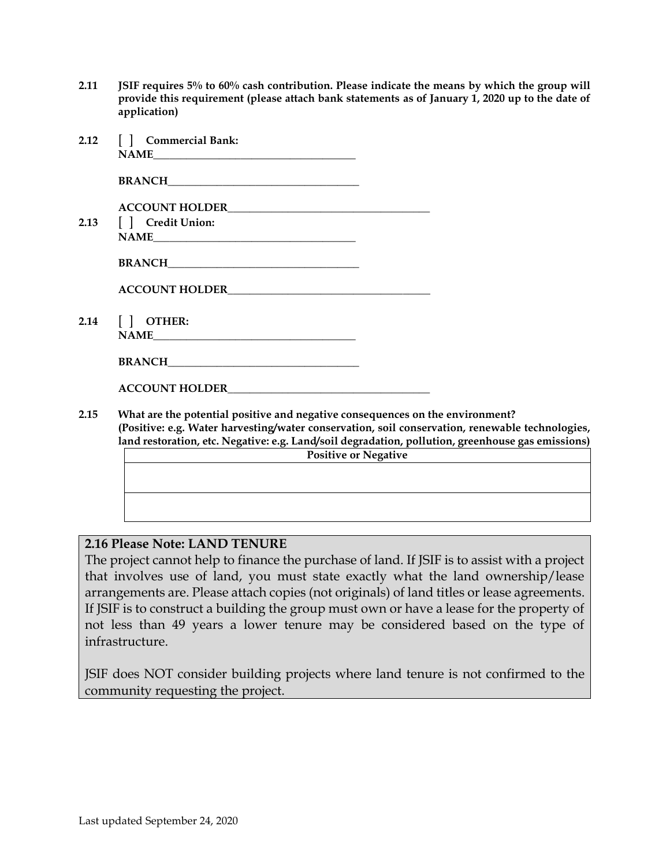**2.11 JSIF requires 5% to 60% cash contribution. Please indicate the means by which the group will provide this requirement (please attach bank statements as of January 1, 2020 up to the date of application)**

|      | 2.12 [ ] Commercial Bank:                                                                                                                                          |  |  |
|------|--------------------------------------------------------------------------------------------------------------------------------------------------------------------|--|--|
|      |                                                                                                                                                                    |  |  |
|      |                                                                                                                                                                    |  |  |
|      | 2.13   Credit Union:                                                                                                                                               |  |  |
|      | NAME                                                                                                                                                               |  |  |
|      |                                                                                                                                                                    |  |  |
|      |                                                                                                                                                                    |  |  |
|      | 2.14 [ ] OTHER:                                                                                                                                                    |  |  |
|      |                                                                                                                                                                    |  |  |
|      |                                                                                                                                                                    |  |  |
| 2.15 | What are the potential positive and negative consequences on the environment?<br>(Positive: e.g. Water harvesting/water conservation, soil conservation, renewable |  |  |

**(absolute: e.g. Water of the extending conservation, renewable technologies,**  $\epsilon$ **land restoration, etc. Negative: e.g. Land/soil degradation, pollution, greenhouse gas emissions) Positive or Negative**

## **2.16 Please Note: LAND TENURE**

The project cannot help to finance the purchase of land. If JSIF is to assist with a project that involves use of land, you must state exactly what the land ownership/lease arrangements are. Please attach copies (not originals) of land titles or lease agreements. If JSIF is to construct a building the group must own or have a lease for the property of not less than 49 years a lower tenure may be considered based on the type of infrastructure.

JSIF does NOT consider building projects where land tenure is not confirmed to the community requesting the project.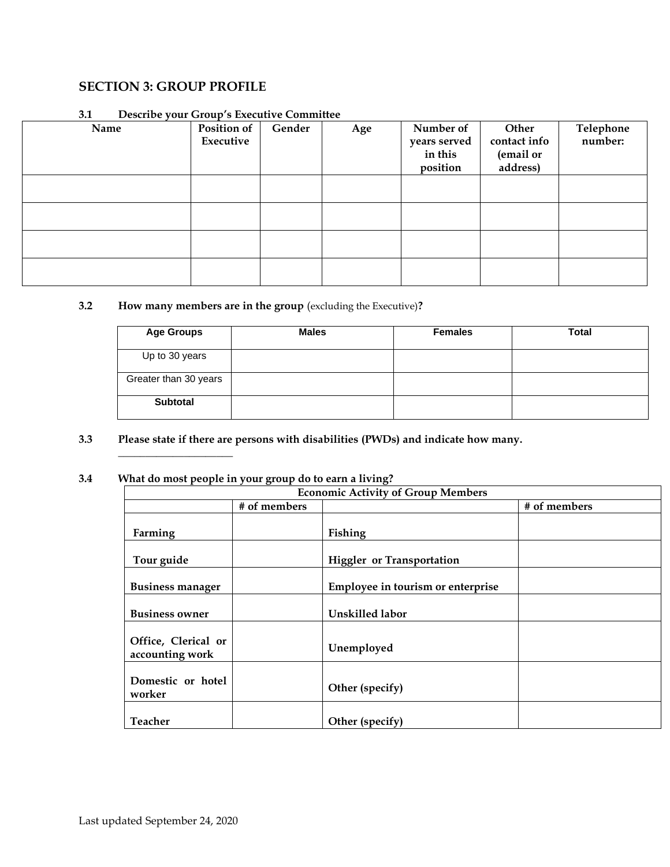## **SECTION 3: GROUP PROFILE**

| Name | Position of<br>Executive | Gender | Age | Number of<br>years served<br>in this<br>position | Other<br>contact info<br>(email or<br>address) | Telephone<br>number: |
|------|--------------------------|--------|-----|--------------------------------------------------|------------------------------------------------|----------------------|
|      |                          |        |     |                                                  |                                                |                      |
|      |                          |        |     |                                                  |                                                |                      |
|      |                          |        |     |                                                  |                                                |                      |
|      |                          |        |     |                                                  |                                                |                      |

#### **3.1 Describe your Group's Executive Committee**

## **3.2 How many members are in the group** (excluding the Executive)**?**

| <b>Age Groups</b>     | <b>Males</b> | <b>Females</b> | <b>Total</b> |
|-----------------------|--------------|----------------|--------------|
| Up to 30 years        |              |                |              |
| Greater than 30 years |              |                |              |
| <b>Subtotal</b>       |              |                |              |

#### **3.3 Please state if there are persons with disabilities (PWDs) and indicate how many.**

#### **3.4 What do most people in your group do to earn a living?**

**\_\_\_\_\_\_\_\_\_\_\_\_\_\_\_\_\_\_\_\_\_**

| <b>Economic Activity of Group Members</b> |              |                                   |              |  |
|-------------------------------------------|--------------|-----------------------------------|--------------|--|
|                                           | # of members |                                   | # of members |  |
| Farming                                   |              | Fishing                           |              |  |
| Tour guide                                |              | <b>Higgler</b> or Transportation  |              |  |
| <b>Business manager</b>                   |              | Employee in tourism or enterprise |              |  |
| <b>Business owner</b>                     |              | Unskilled labor                   |              |  |
| Office, Clerical or<br>accounting work    |              | Unemployed                        |              |  |
| Domestic or hotel<br>worker               |              | Other (specify)                   |              |  |
| <b>Teacher</b>                            |              | Other (specify)                   |              |  |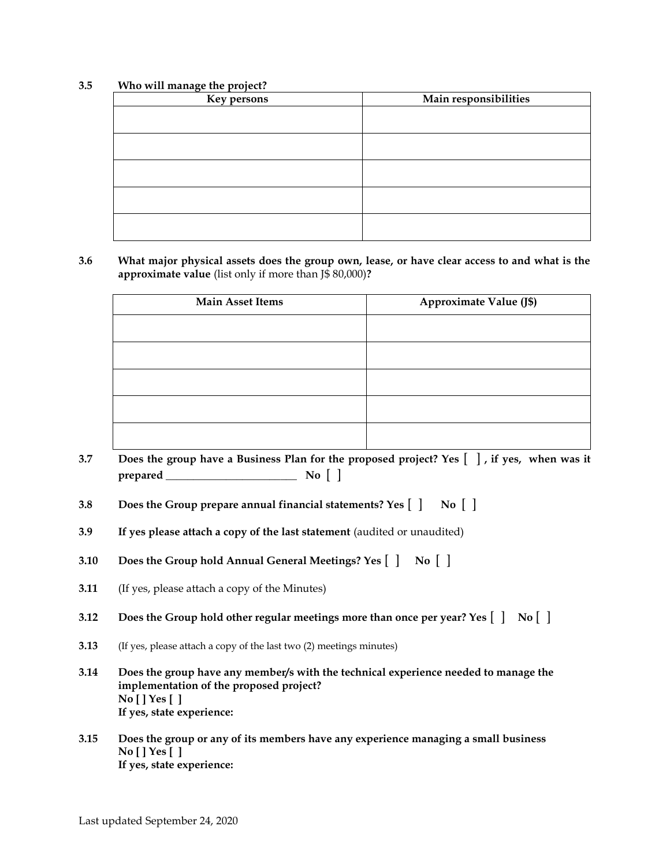#### **3.5 Who will manage the project?**

| Key persons | Main responsibilities |
|-------------|-----------------------|
|             |                       |
|             |                       |
|             |                       |
|             |                       |
|             |                       |
|             |                       |
|             |                       |
|             |                       |
|             |                       |
|             |                       |

**3.6 What major physical assets does the group own, lease, or have clear access to and what is the approximate value** (list only if more than J\$ 80,000)**?**

| <b>Main Asset Items</b> | Approximate Value (J\$) |
|-------------------------|-------------------------|
|                         |                         |
|                         |                         |
|                         |                         |
|                         |                         |
|                         |                         |

- **3.7 Does the group have a Business Plan for the proposed project? Yes** [ ] **, if yes, when was it prepared \_\_\_\_\_\_\_\_\_\_\_\_\_\_\_\_\_\_\_\_\_\_\_\_ No** [ ]
- **3.8 Does the Group prepare annual financial statements? Yes** [ ] **No** [ ]
- **3.9 If yes please attach a copy of the last statement** (audited or unaudited)
- **3.10 Does the Group hold Annual General Meetings? Yes** [ ] **No** [ ]
- **3.11** (If yes, please attach a copy of the Minutes)
- **3.12 Does the Group hold other regular meetings more than once per year? Yes** [ ] **No** [ ]
- **3.13** (If yes, please attach a copy of the last two (2) meetings minutes)
- **3.14 Does the group have any member/s with the technical experience needed to manage the implementation of the proposed project? No [ ] Yes [ ] If yes, state experience:**
- **3.15 Does the group or any of its members have any experience managing a small business No [ ] Yes [ ] If yes, state experience:**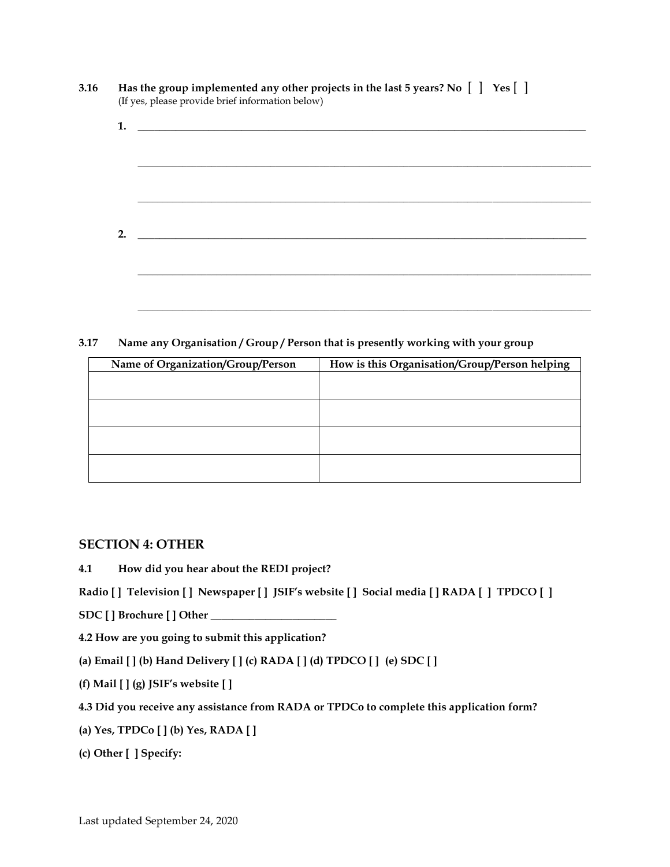|    | Has the group implemented any other projects in the last 5 years? No [ ] Yes [ ]<br>(If yes, please provide brief information below) |  |  |  |
|----|--------------------------------------------------------------------------------------------------------------------------------------|--|--|--|
|    |                                                                                                                                      |  |  |  |
|    |                                                                                                                                      |  |  |  |
|    |                                                                                                                                      |  |  |  |
| 2. |                                                                                                                                      |  |  |  |
|    |                                                                                                                                      |  |  |  |
|    |                                                                                                                                      |  |  |  |

**3.17 Name any Organisation / Group / Person that is presently working with your group**

| Name of Organization/Group/Person | How is this Organisation/Group/Person helping |
|-----------------------------------|-----------------------------------------------|
|                                   |                                               |
|                                   |                                               |
|                                   |                                               |
|                                   |                                               |
|                                   |                                               |
|                                   |                                               |
|                                   |                                               |
|                                   |                                               |

### **SECTION 4: OTHER**

**4.1 How did you hear about the REDI project?**

**Radio [ ] Television [ ] Newspaper [ ] JSIF's website [ ] Social media [ ] RADA [ ] TPDCO [ ]**

**SDC [ ] Brochure [ ] Other \_\_\_\_\_\_\_\_\_\_\_\_\_\_\_\_\_\_\_\_\_\_\_**

**4.2 How are you going to submit this application?**

**(a) Email [ ] (b) Hand Delivery [ ] (c) RADA [ ] (d) TPDCO [ ] (e) SDC [ ]**

**(f) Mail [ ] (g) JSIF's website [ ]**

**4.3 Did you receive any assistance from RADA or TPDCo to complete this application form?**

**(a) Yes, TPDCo [ ] (b) Yes, RADA [ ]**

**(c) Other [ ] Specify:**